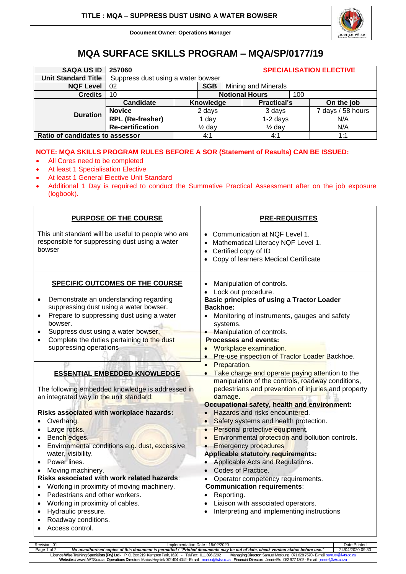

**Document Owner: Operations Manager**

## **MQA SURFACE SKILLS PROGRAM – MQA/SP/0177/19**

| <b>SAQA US ID</b>               | 257060                             |                   |           |                       | <b>SPECIALISATION ELECTIVE</b> |     |                   |
|---------------------------------|------------------------------------|-------------------|-----------|-----------------------|--------------------------------|-----|-------------------|
| <b>Unit Standard Title</b>      | Suppress dust using a water bowser |                   |           |                       |                                |     |                   |
| <b>NQF Level</b>                | 02<br><b>SGB</b>                   |                   |           | Mining and Minerals   |                                |     |                   |
| <b>Credits</b>                  | 10                                 |                   |           | <b>Notional Hours</b> |                                | 100 |                   |
| <b>Duration</b>                 | Candidate                          |                   | Knowledge |                       | <b>Practical's</b>             |     | On the job        |
|                                 | <b>Novice</b>                      | 2 days            |           |                       | 3 days                         |     | 7 days / 58 hours |
|                                 | <b>RPL (Re-fresher)</b>            | dav               |           | $1-2$ days            |                                |     | N/A               |
|                                 | <b>Re-certification</b>            | $\frac{1}{2}$ day |           |                       | $\frac{1}{2}$ day              |     | N/A               |
| Ratio of candidates to assessor |                                    |                   | 4:1       |                       | 4:1                            |     | 1:1               |

## **NOTE: MQA SKILLS PROGRAM RULES BEFORE A SOR (Statement of Results) CAN BE ISSUED:**

- All Cores need to be completed
- At least 1 Specialisation Elective
- At least 1 General Elective Unit Standard
- Additional 1 Day is required to conduct the Summative Practical Assessment after on the job exposure (logbook).

| <b>PURPOSE OF THE COURSE</b>                                                                                                                                                                                                                                                                                                                                                                                                                                                                                                                                         | <b>PRE-REQUISITES</b>                                                                                                                                                                                                                                                                                                                                                                                                                                                                                                                                                                                                                                          |  |  |  |  |
|----------------------------------------------------------------------------------------------------------------------------------------------------------------------------------------------------------------------------------------------------------------------------------------------------------------------------------------------------------------------------------------------------------------------------------------------------------------------------------------------------------------------------------------------------------------------|----------------------------------------------------------------------------------------------------------------------------------------------------------------------------------------------------------------------------------------------------------------------------------------------------------------------------------------------------------------------------------------------------------------------------------------------------------------------------------------------------------------------------------------------------------------------------------------------------------------------------------------------------------------|--|--|--|--|
| This unit standard will be useful to people who are<br>responsible for suppressing dust using a water<br>bowser                                                                                                                                                                                                                                                                                                                                                                                                                                                      | Communication at NQF Level 1.<br>Mathematical Literacy NQF Level 1.<br>Certified copy of ID<br>$\bullet$<br>Copy of learners Medical Certificate<br>$\bullet$                                                                                                                                                                                                                                                                                                                                                                                                                                                                                                  |  |  |  |  |
| <b>SPECIFIC OUTCOMES OF THE COURSE</b><br>Demonstrate an understanding regarding<br>$\bullet$<br>suppressing dust using a water bowser.<br>Prepare to suppressing dust using a water<br>$\bullet$<br>bowser.<br>Suppress dust using a water bowser.<br>$\bullet$<br>Complete the duties pertaining to the dust<br>suppressing operations<br><b>ESSENTIAL EMBEDDED KNOWLEDGE</b><br>The following embedded knowledge is addressed in<br>an integrated way in the unit standard:<br>Risks associated with workplace hazards:<br>Overhang.<br>Large rocks.<br>$\bullet$ | Manipulation of controls.<br>Lock out procedure.<br><b>Basic principles of using a Tractor Loader</b><br><b>Backhoe:</b><br>Monitoring of instruments, gauges and safety<br>systems.<br>Manipulation of controls.<br><b>Processes and events:</b><br>Workplace examination.<br>Pre-use inspection of Tractor Loader Backhoe.<br>Preparation.<br>$\bullet$<br>Take charge and operate paying attention to the<br>manipulation of the controls, roadway conditions,<br>pedestrians and prevention of injuries and property<br>damage.<br>Occupational safety, health and environment:<br>Hazards and risks encountered.<br>Safety systems and health protection. |  |  |  |  |
| Bench edges.<br>$\bullet$<br>Environmental conditions e.g. dust, excessive<br>$\bullet$<br>water, visibility.<br>Power lines.<br>Moving machinery.<br>Risks associated with work related hazards:<br>Working in proximity of moving machinery.<br>$\bullet$<br>Pedestrians and other workers.<br>$\bullet$<br>Working in proximity of cables.<br>$\bullet$<br>Hydraulic pressure.<br>$\bullet$<br>Roadway conditions.<br>Access control.<br>$\bullet$                                                                                                                | Personal protective equipment.<br>Environmental protection and pollution controls.<br><b>Emergency procedures</b><br><b>Applicable statutory requirements:</b><br>Applicable Acts and Regulations.<br>Codes of Practice.<br>Operator competency requirements.<br><b>Communication requirements:</b><br>Reporting.<br>• Liaison with associated operators.<br>Interpreting and implementing instructions<br>$\bullet$                                                                                                                                                                                                                                           |  |  |  |  |

| Revision: 01                                                                                                                                                                                 | Implementation Date: 15/02/2020                                                                                                 |                  |  |  |  |
|----------------------------------------------------------------------------------------------------------------------------------------------------------------------------------------------|---------------------------------------------------------------------------------------------------------------------------------|------------------|--|--|--|
| Page 1 of 2                                                                                                                                                                                  | No unauthorised copies of this document is permitted / "Printed documents may be out of date, check version status before use." | 24/04/2020 09:33 |  |  |  |
| Managing Director: Samuel Motloung 071 628 7570 - E-mail: samuel@lwts.co.za<br>Licence Wise Training Specialists (Pty) Ltd - P.O. Box 219, Kempton Park, 1620 - Tel/Fax: 011 896 2292        |                                                                                                                                 |                  |  |  |  |
| Website: // www.LWTS.co.za Operations Director: Marius Heystek 072 404 4042 - E-mail: marius@lwts.co.za<br><b>Financial Director:</b> Jennie Els 0829771302-E-mail: <i>jennie@lwts.co.za</i> |                                                                                                                                 |                  |  |  |  |